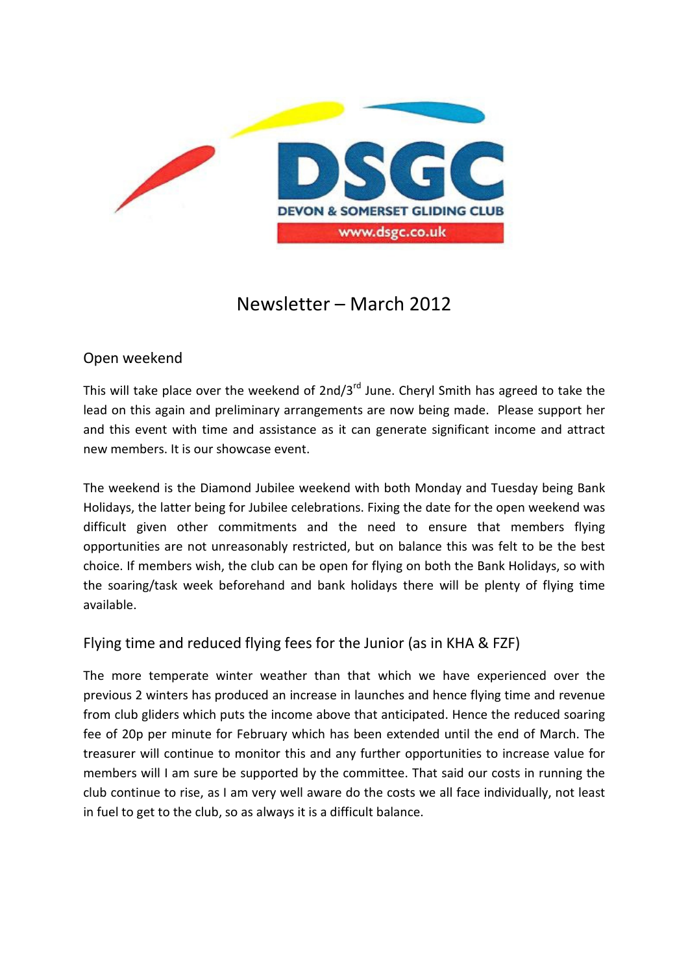

# Newsletter – March 2012

# Open weekend

This will take place over the weekend of  $2nd/3^{rd}$  June. Cheryl Smith has agreed to take the lead on this again and preliminary arrangements are now being made. Please support her and this event with time and assistance as it can generate significant income and attract new members. It is our showcase event.

The weekend is the Diamond Jubilee weekend with both Monday and Tuesday being Bank Holidays, the latter being for Jubilee celebrations. Fixing the date for the open weekend was difficult given other commitments and the need to ensure that members flying opportunities are not unreasonably restricted, but on balance this was felt to be the best choice. If members wish, the club can be open for flying on both the Bank Holidays, so with the soaring/task week beforehand and bank holidays there will be plenty of flying time available.

# Flying time and reduced flying fees for the Junior (as in KHA & FZF)

The more temperate winter weather than that which we have experienced over the previous 2 winters has produced an increase in launches and hence flying time and revenue from club gliders which puts the income above that anticipated. Hence the reduced soaring fee of 20p per minute for February which has been extended until the end of March. The treasurer will continue to monitor this and any further opportunities to increase value for members will I am sure be supported by the committee. That said our costs in running the club continue to rise, as I am very well aware do the costs we all face individually, not least in fuel to get to the club, so as always it is a difficult balance.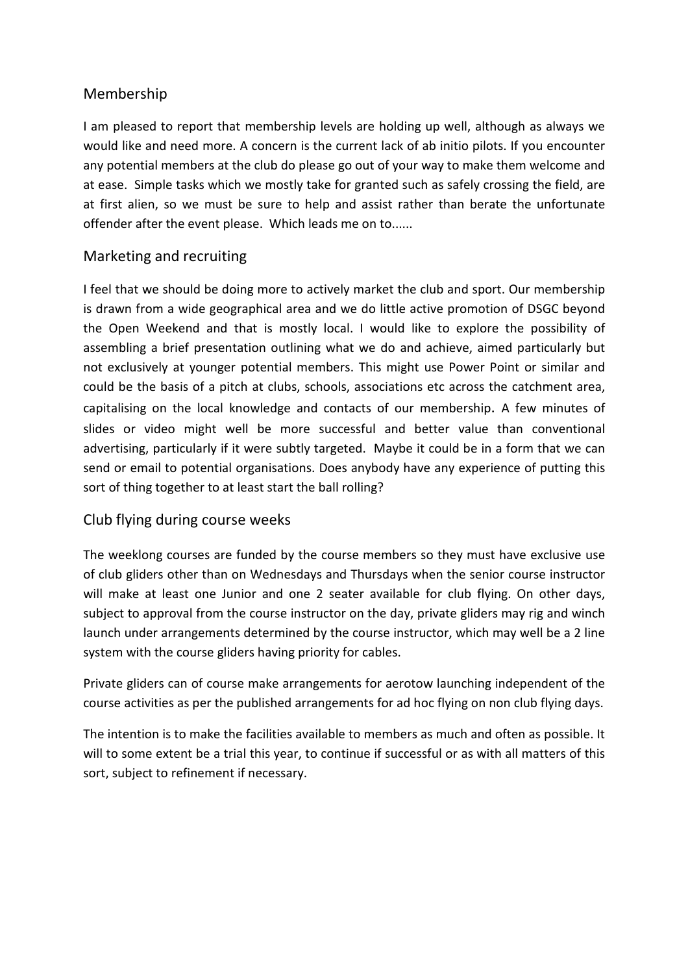## Membership

I am pleased to report that membership levels are holding up well, although as always we would like and need more. A concern is the current lack of ab initio pilots. If you encounter any potential members at the club do please go out of your way to make them welcome and at ease. Simple tasks which we mostly take for granted such as safely crossing the field, are at first alien, so we must be sure to help and assist rather than berate the unfortunate offender after the event please. Which leads me on to......

## Marketing and recruiting

I feel that we should be doing more to actively market the club and sport. Our membership is drawn from a wide geographical area and we do little active promotion of DSGC beyond the Open Weekend and that is mostly local. I would like to explore the possibility of assembling a brief presentation outlining what we do and achieve, aimed particularly but not exclusively at younger potential members. This might use Power Point or similar and could be the basis of a pitch at clubs, schools, associations etc across the catchment area, capitalising on the local knowledge and contacts of our membership. A few minutes of slides or video might well be more successful and better value than conventional advertising, particularly if it were subtly targeted. Maybe it could be in a form that we can send or email to potential organisations. Does anybody have any experience of putting this sort of thing together to at least start the ball rolling?

## Club flying during course weeks

The weeklong courses are funded by the course members so they must have exclusive use of club gliders other than on Wednesdays and Thursdays when the senior course instructor will make at least one Junior and one 2 seater available for club flying. On other days, subject to approval from the course instructor on the day, private gliders may rig and winch launch under arrangements determined by the course instructor, which may well be a 2 line system with the course gliders having priority for cables.

Private gliders can of course make arrangements for aerotow launching independent of the course activities as per the published arrangements for ad hoc flying on non club flying days.

The intention is to make the facilities available to members as much and often as possible. It will to some extent be a trial this year, to continue if successful or as with all matters of this sort, subject to refinement if necessary.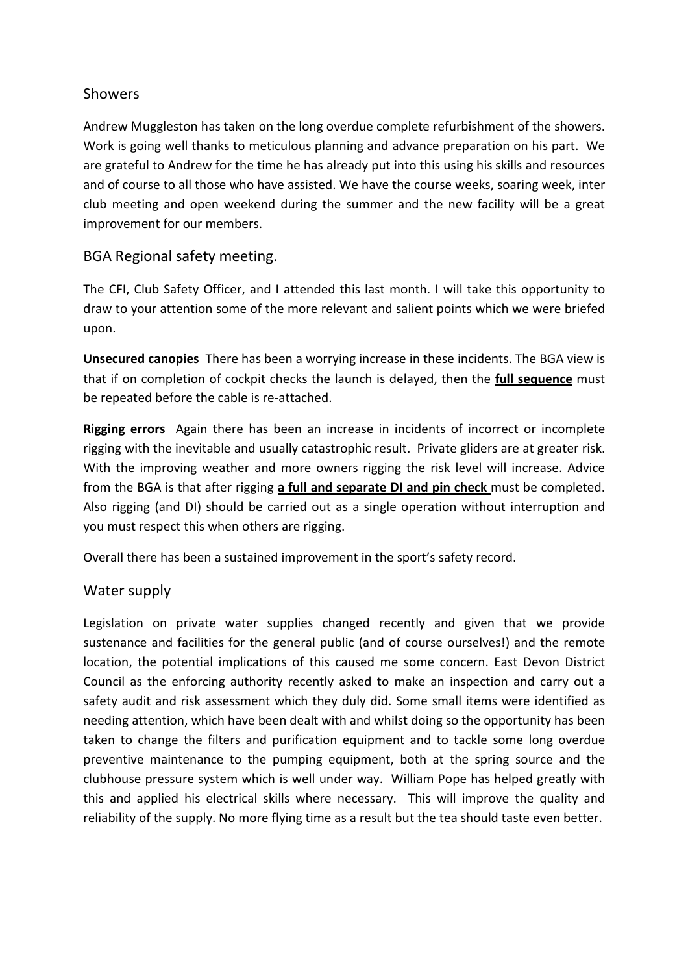## **Showers**

Andrew Muggleston has taken on the long overdue complete refurbishment of the showers. Work is going well thanks to meticulous planning and advance preparation on his part. We are grateful to Andrew for the time he has already put into this using his skills and resources and of course to all those who have assisted. We have the course weeks, soaring week, inter club meeting and open weekend during the summer and the new facility will be a great improvement for our members.

## BGA Regional safety meeting.

The CFI, Club Safety Officer, and I attended this last month. I will take this opportunity to draw to your attention some of the more relevant and salient points which we were briefed upon.

Unsecured canopies There has been a worrying increase in these incidents. The BGA view is that if on completion of cockpit checks the launch is delayed, then the **full sequence** must be repeated before the cable is re-attached.

Rigging errors Again there has been an increase in incidents of incorrect or incomplete rigging with the inevitable and usually catastrophic result. Private gliders are at greater risk. With the improving weather and more owners rigging the risk level will increase. Advice from the BGA is that after rigging a full and separate DI and pin check must be completed. Also rigging (and DI) should be carried out as a single operation without interruption and you must respect this when others are rigging.

Overall there has been a sustained improvement in the sport's safety record.

## Water supply

Legislation on private water supplies changed recently and given that we provide sustenance and facilities for the general public (and of course ourselves!) and the remote location, the potential implications of this caused me some concern. East Devon District Council as the enforcing authority recently asked to make an inspection and carry out a safety audit and risk assessment which they duly did. Some small items were identified as needing attention, which have been dealt with and whilst doing so the opportunity has been taken to change the filters and purification equipment and to tackle some long overdue preventive maintenance to the pumping equipment, both at the spring source and the clubhouse pressure system which is well under way. William Pope has helped greatly with this and applied his electrical skills where necessary. This will improve the quality and reliability of the supply. No more flying time as a result but the tea should taste even better.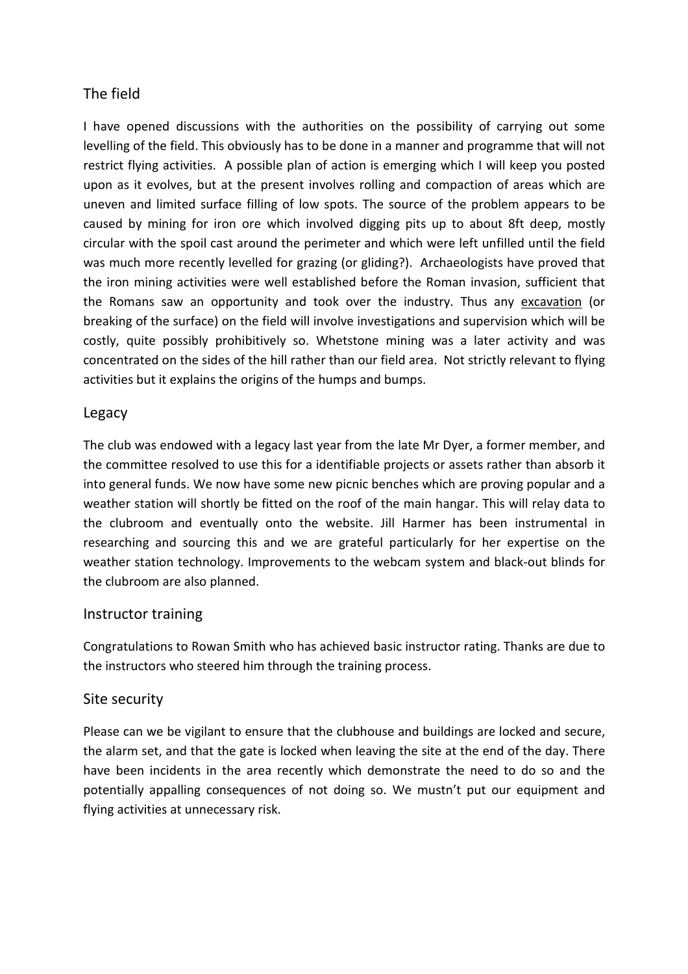# The field

I have opened discussions with the authorities on the possibility of carrying out some levelling of the field. This obviously has to be done in a manner and programme that will not restrict flying activities. A possible plan of action is emerging which I will keep you posted upon as it evolves, but at the present involves rolling and compaction of areas which are uneven and limited surface filling of low spots. The source of the problem appears to be caused by mining for iron ore which involved digging pits up to about 8ft deep, mostly circular with the spoil cast around the perimeter and which were left unfilled until the field was much more recently levelled for grazing (or gliding?). Archaeologists have proved that the iron mining activities were well established before the Roman invasion, sufficient that the Romans saw an opportunity and took over the industry. Thus any excavation (or breaking of the surface) on the field will involve investigations and supervision which will be costly, quite possibly prohibitively so. Whetstone mining was a later activity and was concentrated on the sides of the hill rather than our field area. Not strictly relevant to flying activities but it explains the origins of the humps and bumps.

## Legacy

The club was endowed with a legacy last year from the late Mr Dyer, a former member, and the committee resolved to use this for a identifiable projects or assets rather than absorb it into general funds. We now have some new picnic benches which are proving popular and a weather station will shortly be fitted on the roof of the main hangar. This will relay data to the clubroom and eventually onto the website. Jill Harmer has been instrumental in researching and sourcing this and we are grateful particularly for her expertise on the weather station technology. Improvements to the webcam system and black-out blinds for the clubroom are also planned.

## Instructor training

Congratulations to Rowan Smith who has achieved basic instructor rating. Thanks are due to the instructors who steered him through the training process.

## Site security

Please can we be vigilant to ensure that the clubhouse and buildings are locked and secure, the alarm set, and that the gate is locked when leaving the site at the end of the day. There have been incidents in the area recently which demonstrate the need to do so and the potentially appalling consequences of not doing so. We mustn't put our equipment and flying activities at unnecessary risk.